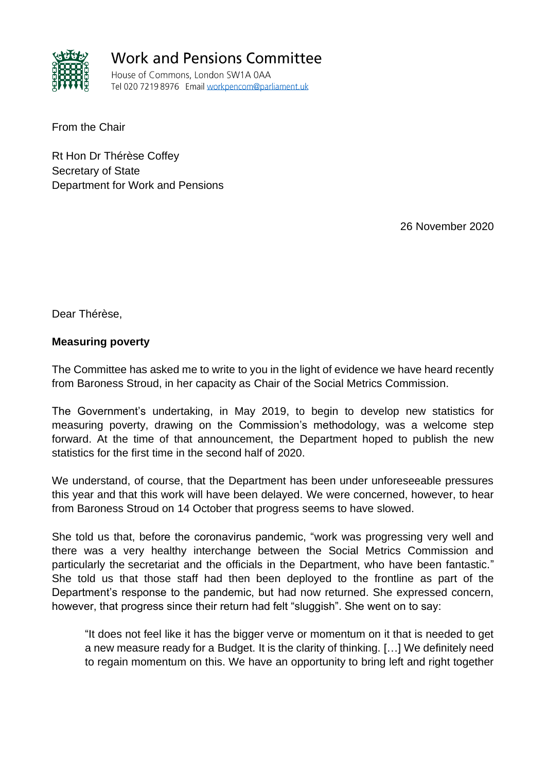

**Work and Pensions Committee** 

House of Commons, London SW1A 0AA Tel 020 7219 8976 Email workpencom@parliament.uk

From the Chair

Rt Hon Dr Thérèse Coffey Secretary of State Department for Work and Pensions

26 November 2020

Dear Thérèse,

## **Measuring poverty**

The Committee has asked me to write to you in the light of evidence we have heard recently from Baroness Stroud, in her capacity as Chair of the Social Metrics Commission.

The Government's undertaking, in May 2019, to begin to develop new statistics for measuring poverty, drawing on the Commission's methodology, was a welcome step forward. At the time of that announcement, the Department hoped to publish the new statistics for the first time in the second half of 2020.

We understand, of course, that the Department has been under unforeseeable pressures this year and that this work will have been delayed. We were concerned, however, to hear from Baroness Stroud on 14 October that progress seems to have slowed.

She told us that, before the coronavirus pandemic, "work was progressing very well and there was a very healthy interchange between the Social Metrics Commission and particularly the secretariat and the officials in the Department, who have been fantastic." She told us that those staff had then been deployed to the frontline as part of the Department's response to the pandemic, but had now returned. She expressed concern, however, that progress since their return had felt "sluggish". She went on to say:

"It does not feel like it has the bigger verve or momentum on it that is needed to get a new measure ready for a Budget. It is the clarity of thinking. […] We definitely need to regain momentum on this. We have an opportunity to bring left and right together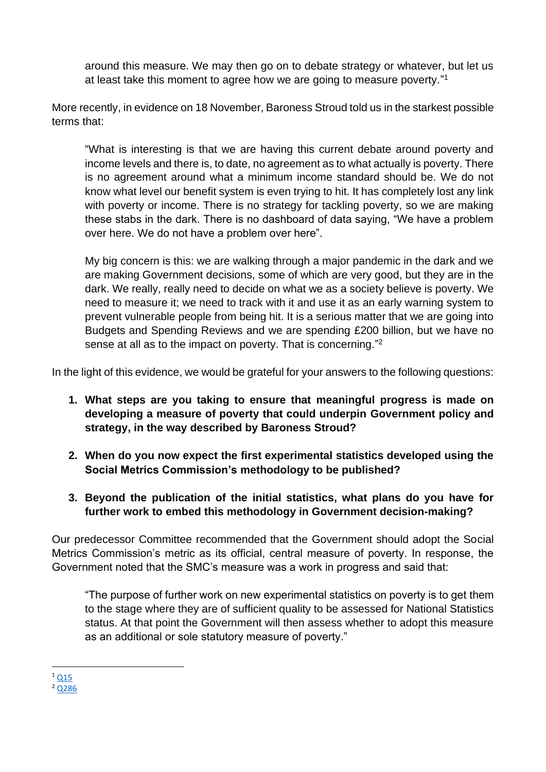around this measure. We may then go on to debate strategy or whatever, but let us at least take this moment to agree how we are going to measure poverty."<sup>1</sup>

More recently, in evidence on 18 November, Baroness Stroud told us in the starkest possible terms that:

"What is interesting is that we are having this current debate around poverty and income levels and there is, to date, no agreement as to what actually is poverty. There is no agreement around what a minimum income standard should be. We do not know what level our benefit system is even trying to hit. It has completely lost any link with poverty or income. There is no strategy for tackling poverty, so we are making these stabs in the dark. There is no dashboard of data saying, "We have a problem over here. We do not have a problem over here".

My big concern is this: we are walking through a major pandemic in the dark and we are making Government decisions, some of which are very good, but they are in the dark. We really, really need to decide on what we as a society believe is poverty. We need to measure it; we need to track with it and use it as an early warning system to prevent vulnerable people from being hit. It is a serious matter that we are going into Budgets and Spending Reviews and we are spending £200 billion, but we have no sense at all as to the impact on poverty. That is concerning."<sup>2</sup>

In the light of this evidence, we would be grateful for your answers to the following questions:

- **1. What steps are you taking to ensure that meaningful progress is made on developing a measure of poverty that could underpin Government policy and strategy, in the way described by Baroness Stroud?**
- **2. When do you now expect the first experimental statistics developed using the Social Metrics Commission's methodology to be published?**
- **3. Beyond the publication of the initial statistics, what plans do you have for further work to embed this methodology in Government decision-making?**

Our predecessor Committee recommended that the Government should adopt the Social Metrics Commission's metric as its official, central measure of poverty. In response, the Government noted that the SMC's measure was a work in progress and said that:

"The purpose of further work on new experimental statistics on poverty is to get them to the stage where they are of sufficient quality to be assessed for National Statistics status. At that point the Government will then assess whether to adopt this measure as an additional or sole statutory measure of poverty."

 $1$  [Q15](https://committees.parliament.uk/oralevidence/1046/html/) <sup>2</sup> [Q286](https://committees.parliament.uk/oralevidence/1243/pdf/)